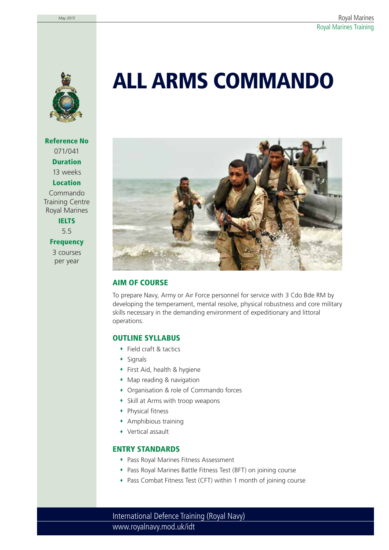

**Reference No** 071/041 **Duration** 13 weeks **Location** Commando

Training Centre Royal Marines **IELTS**

5.5

**Frequency**

3 courses per year

# **ALL ARMS COMMANDO**



## **AIM OF COURSE**

To prepare Navy, Army or Air Force personnel for service with 3 Cdo Bde RM by developing the temperament, mental resolve, physical robustness and core military skills necessary in the demanding environment of expeditionary and littoral operations.

### **OUTLINE SYLLABUS**

- Field craft & tactics
- $\bullet$  Signals
- First Aid, health & hygiene
- Map reading & navigation
- Organisation & role of Commando forces
- Skill at Arms with troop weapons
- Physical fitness
- Amphibious training
- Vertical assault

### **ENTRY STANDARDS**

- Pass Royal Marines Fitness Assessment
- Pass Royal Marines Battle Fitness Test (BFT) on joining course
- Pass Combat Fitness Test (CFT) within 1 month of joining course

www.royalnavy.mod.uk/idt International Defence Training (Royal Navy)